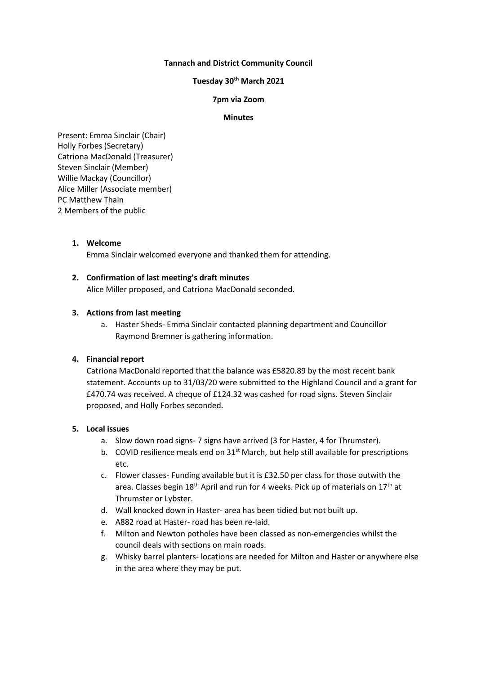# **Tannach and District Community Council**

# **Tuesday 30th March 2021**

# **7pm via Zoom**

## **Minutes**

Present: Emma Sinclair (Chair) Holly Forbes (Secretary) Catriona MacDonald (Treasurer) Steven Sinclair (Member) Willie Mackay (Councillor) Alice Miller (Associate member) PC Matthew Thain 2 Members of the public

## **1. Welcome**

Emma Sinclair welcomed everyone and thanked them for attending.

## **2. Confirmation of last meeting's draft minutes**

Alice Miller proposed, and Catriona MacDonald seconded.

# **3. Actions from last meeting**

a. Haster Sheds- Emma Sinclair contacted planning department and Councillor Raymond Bremner is gathering information.

## **4. Financial report**

Catriona MacDonald reported that the balance was £5820.89 by the most recent bank statement. Accounts up to 31/03/20 were submitted to the Highland Council and a grant for £470.74 was received. A cheque of £124.32 was cashed for road signs. Steven Sinclair proposed, and Holly Forbes seconded.

## **5. Local issues**

- a. Slow down road signs- 7 signs have arrived (3 for Haster, 4 for Thrumster).
- b. COVID resilience meals end on  $31<sup>st</sup>$  March, but help still available for prescriptions etc.
- c. Flower classes- Funding available but it is £32.50 per class for those outwith the area. Classes begin 18<sup>th</sup> April and run for 4 weeks. Pick up of materials on 17<sup>th</sup> at Thrumster or Lybster.
- d. Wall knocked down in Haster- area has been tidied but not built up.
- e. A882 road at Haster- road has been re-laid.
- f. Milton and Newton potholes have been classed as non-emergencies whilst the council deals with sections on main roads.
- g. Whisky barrel planters- locations are needed for Milton and Haster or anywhere else in the area where they may be put.